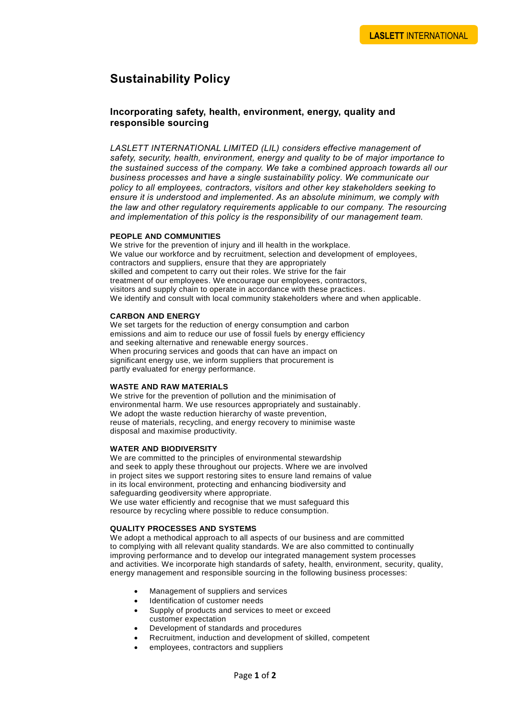# **Sustainability Policy**

## **Incorporating safety, health, environment, energy, quality and responsible sourcing**

*LASLETT INTERNATIONAL LIMITED (LIL) considers effective management of safety, security, health, environment, energy and quality to be of major importance to the sustained success of the company. We take a combined approach towards all our business processes and have a single sustainability policy. We communicate our policy to all employees, contractors, visitors and other key stakeholders seeking to ensure it is understood and implemented. As an absolute minimum, we comply with the law and other regulatory requirements applicable to our company. The resourcing and implementation of this policy is the responsibility of our management team.*

#### **PEOPLE AND COMMUNITIES**

We strive for the prevention of injury and ill health in the workplace. We value our workforce and by recruitment, selection and development of employees, contractors and suppliers, ensure that they are appropriately skilled and competent to carry out their roles. We strive for the fair treatment of our employees. We encourage our employees, contractors, visitors and supply chain to operate in accordance with these practices. We identify and consult with local community stakeholders where and when applicable.

#### **CARBON AND ENERGY**

We set targets for the reduction of energy consumption and carbon emissions and aim to reduce our use of fossil fuels by energy efficiency and seeking alternative and renewable energy sources. When procuring services and goods that can have an impact on significant energy use, we inform suppliers that procurement is partly evaluated for energy performance.

#### **WASTE AND RAW MATERIALS**

We strive for the prevention of pollution and the minimisation of environmental harm. We use resources appropriately and sustainably. We adopt the waste reduction hierarchy of waste prevention, reuse of materials, recycling, and energy recovery to minimise waste disposal and maximise productivity.

#### **WATER AND BIODIVERSITY**

We are committed to the principles of environmental stewardship and seek to apply these throughout our projects. Where we are involved in project sites we support restoring sites to ensure land remains of value in its local environment, protecting and enhancing biodiversity and safeguarding geodiversity where appropriate. We use water efficiently and recognise that we must safeguard this

resource by recycling where possible to reduce consumption.

### **QUALITY PROCESSES AND SYSTEMS**

We adopt a methodical approach to all aspects of our business and are committed to complying with all relevant quality standards. We are also committed to continually improving performance and to develop our integrated management system processes and activities. We incorporate high standards of safety, health, environment, security, quality, energy management and responsible sourcing in the following business processes:

- Management of suppliers and services
- Identification of customer needs
- Supply of products and services to meet or exceed customer expectation
- Development of standards and procedures
- Recruitment, induction and development of skilled, competent
- employees, contractors and suppliers